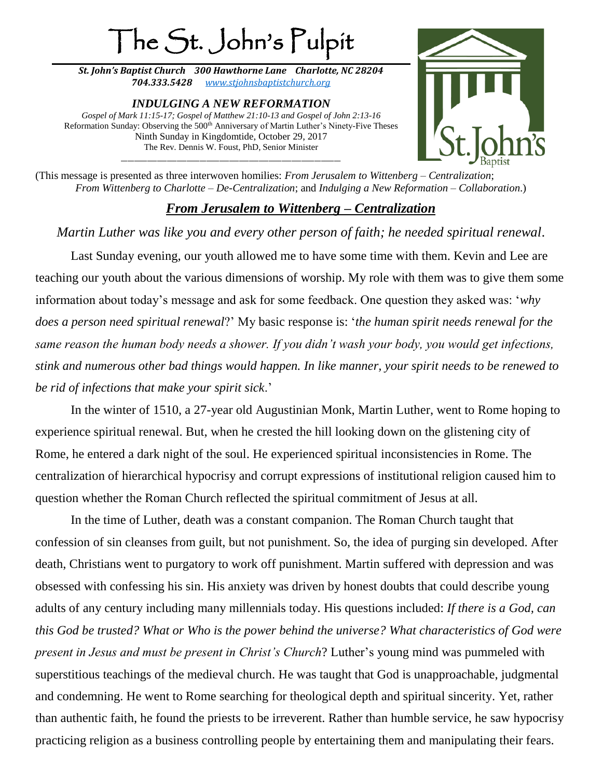## The St. John's Pulpit

*St. John's Baptist Church 300 Hawthorne Lane Charlotte, NC 28204 704.333.5428 [www.stjohnsbaptistchurch.org](http://www.stjohnsbaptistchurch.org/)*

*INDULGING A NEW REFORMATION Gospel of Mark 11:15-17; Gospel of Matthew 21:10-13 and Gospel of John 2:13-16* Reformation Sunday: Observing the 500<sup>th</sup> Anniversary of Martin Luther's Ninety-Five Theses Ninth Sunday in Kingdomtide, October 29, 2017 The Rev. Dennis W. Foust, PhD, Senior Minister \_\_\_\_\_\_\_\_\_\_\_\_\_\_\_\_\_\_\_\_\_\_\_\_\_\_\_\_\_\_\_\_\_\_\_\_\_\_\_\_\_\_\_\_\_\_\_\_\_\_\_\_\_\_\_\_\_\_\_\_\_\_\_\_\_\_\_



(This message is presented as three interwoven homilies: *From Jerusalem to Wittenberg – Centralization*; *From Wittenberg to Charlotte – De-Centralization*; and *Indulging a New Reformation – Collaboration*.)

## *From Jerusalem to Wittenberg – Centralization*

*Martin Luther was like you and every other person of faith; he needed spiritual renewal*.

Last Sunday evening, our youth allowed me to have some time with them. Kevin and Lee are teaching our youth about the various dimensions of worship. My role with them was to give them some information about today's message and ask for some feedback. One question they asked was: '*why does a person need spiritual renewal*?' My basic response is: '*the human spirit needs renewal for the same reason the human body needs a shower. If you didn't wash your body, you would get infections, stink and numerous other bad things would happen. In like manner, your spirit needs to be renewed to be rid of infections that make your spirit sick*.'

In the winter of 1510, a 27-year old Augustinian Monk, Martin Luther, went to Rome hoping to experience spiritual renewal. But, when he crested the hill looking down on the glistening city of Rome, he entered a dark night of the soul. He experienced spiritual inconsistencies in Rome. The centralization of hierarchical hypocrisy and corrupt expressions of institutional religion caused him to question whether the Roman Church reflected the spiritual commitment of Jesus at all.

In the time of Luther, death was a constant companion. The Roman Church taught that confession of sin cleanses from guilt, but not punishment. So, the idea of purging sin developed. After death, Christians went to purgatory to work off punishment. Martin suffered with depression and was obsessed with confessing his sin. His anxiety was driven by honest doubts that could describe young adults of any century including many millennials today. His questions included: *If there is a God, can this God be trusted? What or Who is the power behind the universe? What characteristics of God were present in Jesus and must be present in Christ's Church*? Luther's young mind was pummeled with superstitious teachings of the medieval church. He was taught that God is unapproachable, judgmental and condemning. He went to Rome searching for theological depth and spiritual sincerity. Yet, rather than authentic faith, he found the priests to be irreverent. Rather than humble service, he saw hypocrisy practicing religion as a business controlling people by entertaining them and manipulating their fears.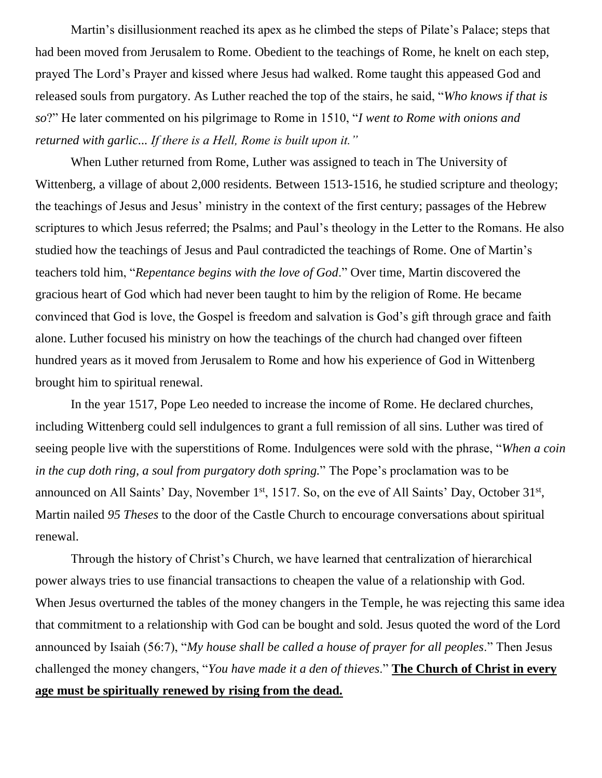Martin's disillusionment reached its apex as he climbed the steps of Pilate's Palace; steps that had been moved from Jerusalem to Rome. Obedient to the teachings of Rome, he knelt on each step, prayed The Lord's Prayer and kissed where Jesus had walked. Rome taught this appeased God and released souls from purgatory. As Luther reached the top of the stairs, he said, "*Who knows if that is so*?" He later commented on his pilgrimage to Rome in 1510, "*I went to Rome with onions and returned with garlic... If there is a Hell, Rome is built upon it."*

When Luther returned from Rome, Luther was assigned to teach in The University of Wittenberg, a village of about 2,000 residents. Between 1513-1516, he studied scripture and theology; the teachings of Jesus and Jesus' ministry in the context of the first century; passages of the Hebrew scriptures to which Jesus referred; the Psalms; and Paul's theology in the Letter to the Romans. He also studied how the teachings of Jesus and Paul contradicted the teachings of Rome. One of Martin's teachers told him, "*Repentance begins with the love of God*." Over time, Martin discovered the gracious heart of God which had never been taught to him by the religion of Rome. He became convinced that God is love, the Gospel is freedom and salvation is God's gift through grace and faith alone. Luther focused his ministry on how the teachings of the church had changed over fifteen hundred years as it moved from Jerusalem to Rome and how his experience of God in Wittenberg brought him to spiritual renewal.

In the year 1517, Pope Leo needed to increase the income of Rome. He declared churches, including Wittenberg could sell indulgences to grant a full remission of all sins. Luther was tired of seeing people live with the superstitions of Rome. Indulgences were sold with the phrase, "*When a coin in the cup doth ring, a soul from purgatory doth spring.*" The Pope's proclamation was to be announced on All Saints' Day, November  $1<sup>st</sup>$ , 1517. So, on the eve of All Saints' Day, October  $31<sup>st</sup>$ , Martin nailed *95 Theses* to the door of the Castle Church to encourage conversations about spiritual renewal.

Through the history of Christ's Church, we have learned that centralization of hierarchical power always tries to use financial transactions to cheapen the value of a relationship with God. When Jesus overturned the tables of the money changers in the Temple, he was rejecting this same idea that commitment to a relationship with God can be bought and sold. Jesus quoted the word of the Lord announced by Isaiah (56:7), "*My house shall be called a house of prayer for all peoples*." Then Jesus challenged the money changers, "*You have made it a den of thieves*." **The Church of Christ in every age must be spiritually renewed by rising from the dead.**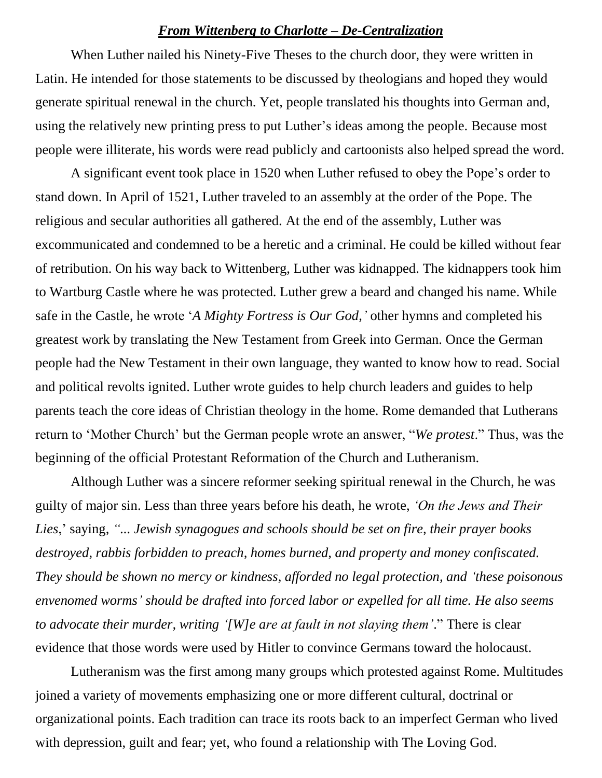## *From Wittenberg to Charlotte – De-Centralization*

When Luther nailed his Ninety-Five Theses to the church door, they were written in Latin. He intended for those statements to be discussed by theologians and hoped they would generate spiritual renewal in the church. Yet, people translated his thoughts into German and, using the relatively new printing press to put Luther's ideas among the people. Because most people were illiterate, his words were read publicly and cartoonists also helped spread the word.

A significant event took place in 1520 when Luther refused to obey the Pope's order to stand down. In April of 1521, Luther traveled to an assembly at the order of the Pope. The religious and secular authorities all gathered. At the end of the assembly, Luther was excommunicated and condemned to be a heretic and a criminal. He could be killed without fear of retribution. On his way back to Wittenberg, Luther was kidnapped. The kidnappers took him to Wartburg Castle where he was protected. Luther grew a beard and changed his name. While safe in the Castle, he wrote '*A Mighty Fortress is Our God,'* other hymns and completed his greatest work by translating the New Testament from Greek into German. Once the German people had the New Testament in their own language, they wanted to know how to read. Social and political revolts ignited. Luther wrote guides to help church leaders and guides to help parents teach the core ideas of Christian theology in the home. Rome demanded that Lutherans return to 'Mother Church' but the German people wrote an answer, "*We protest*." Thus, was the beginning of the official Protestant Reformation of the Church and Lutheranism.

Although Luther was a sincere reformer seeking spiritual renewal in the Church, he was guilty of major sin. Less than three years before his death, he wrote, *'On the Jews and Their Lies*,' saying, *"... Jewish synagogues and [schools](https://en.wikipedia.org/wiki/Yeshiva) should be set on fire, their [prayer books](https://en.wikipedia.org/wiki/Siddur) destroyed, [rabbis](https://en.wikipedia.org/wiki/Rabbi) forbidden to preach, homes burned, and property and money confiscated. They should be shown no mercy or kindness, afforded no legal protection, and 'these poisonous envenomed worms' should be drafted into forced labor or expelled for all time. He also seems to advocate their murder, writing '[W]e are at fault in not slaying them'*." There is clear evidence that those words were used by Hitler to convince Germans toward the holocaust.

Lutheranism was the first among many groups which protested against Rome. Multitudes joined a variety of movements emphasizing one or more different cultural, doctrinal or organizational points. Each tradition can trace its roots back to an imperfect German who lived with depression, guilt and fear; yet, who found a relationship with The Loving God.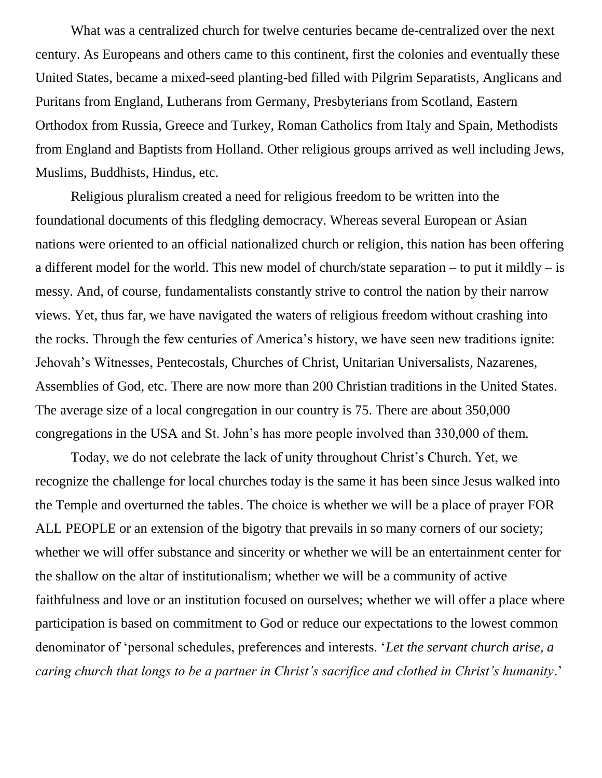What was a centralized church for twelve centuries became de-centralized over the next century. As Europeans and others came to this continent, first the colonies and eventually these United States, became a mixed-seed planting-bed filled with Pilgrim Separatists, Anglicans and Puritans from England, Lutherans from Germany, Presbyterians from Scotland, Eastern Orthodox from Russia, Greece and Turkey, Roman Catholics from Italy and Spain, Methodists from England and Baptists from Holland. Other religious groups arrived as well including Jews, Muslims, Buddhists, Hindus, etc.

Religious pluralism created a need for religious freedom to be written into the foundational documents of this fledgling democracy. Whereas several European or Asian nations were oriented to an official nationalized church or religion, this nation has been offering a different model for the world. This new model of church/state separation – to put it mildly – is messy. And, of course, fundamentalists constantly strive to control the nation by their narrow views. Yet, thus far, we have navigated the waters of religious freedom without crashing into the rocks. Through the few centuries of America's history, we have seen new traditions ignite: Jehovah's Witnesses, Pentecostals, Churches of Christ, Unitarian Universalists, Nazarenes, Assemblies of God, etc. There are now more than 200 Christian traditions in the United States. The average size of a local congregation in our country is 75. There are about 350,000 congregations in the USA and St. John's has more people involved than 330,000 of them.

Today, we do not celebrate the lack of unity throughout Christ's Church. Yet, we recognize the challenge for local churches today is the same it has been since Jesus walked into the Temple and overturned the tables. The choice is whether we will be a place of prayer FOR ALL PEOPLE or an extension of the bigotry that prevails in so many corners of our society; whether we will offer substance and sincerity or whether we will be an entertainment center for the shallow on the altar of institutionalism; whether we will be a community of active faithfulness and love or an institution focused on ourselves; whether we will offer a place where participation is based on commitment to God or reduce our expectations to the lowest common denominator of 'personal schedules, preferences and interests. '*Let the servant church arise, a caring church that longs to be a partner in Christ's sacrifice and clothed in Christ's humanity*.'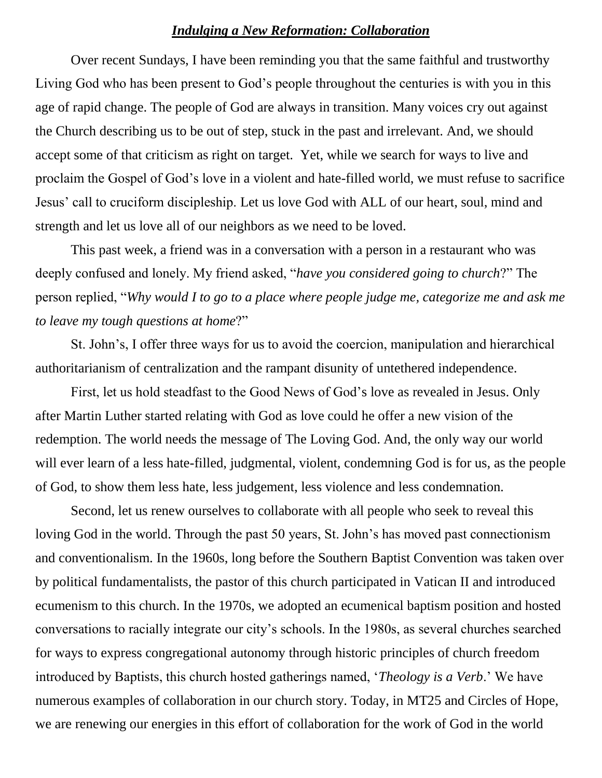## *Indulging a New Reformation: Collaboration*

Over recent Sundays, I have been reminding you that the same faithful and trustworthy Living God who has been present to God's people throughout the centuries is with you in this age of rapid change. The people of God are always in transition. Many voices cry out against the Church describing us to be out of step, stuck in the past and irrelevant. And, we should accept some of that criticism as right on target. Yet, while we search for ways to live and proclaim the Gospel of God's love in a violent and hate-filled world, we must refuse to sacrifice Jesus' call to cruciform discipleship. Let us love God with ALL of our heart, soul, mind and strength and let us love all of our neighbors as we need to be loved.

This past week, a friend was in a conversation with a person in a restaurant who was deeply confused and lonely. My friend asked, "*have you considered going to church*?" The person replied, "*Why would I to go to a place where people judge me, categorize me and ask me to leave my tough questions at home*?"

St. John's, I offer three ways for us to avoid the coercion, manipulation and hierarchical authoritarianism of centralization and the rampant disunity of untethered independence.

First, let us hold steadfast to the Good News of God's love as revealed in Jesus. Only after Martin Luther started relating with God as love could he offer a new vision of the redemption. The world needs the message of The Loving God. And, the only way our world will ever learn of a less hate-filled, judgmental, violent, condemning God is for us, as the people of God, to show them less hate, less judgement, less violence and less condemnation.

Second, let us renew ourselves to collaborate with all people who seek to reveal this loving God in the world. Through the past 50 years, St. John's has moved past connectionism and conventionalism. In the 1960s, long before the Southern Baptist Convention was taken over by political fundamentalists, the pastor of this church participated in Vatican II and introduced ecumenism to this church. In the 1970s, we adopted an ecumenical baptism position and hosted conversations to racially integrate our city's schools. In the 1980s, as several churches searched for ways to express congregational autonomy through historic principles of church freedom introduced by Baptists, this church hosted gatherings named, '*Theology is a Verb*.' We have numerous examples of collaboration in our church story. Today, in MT25 and Circles of Hope, we are renewing our energies in this effort of collaboration for the work of God in the world